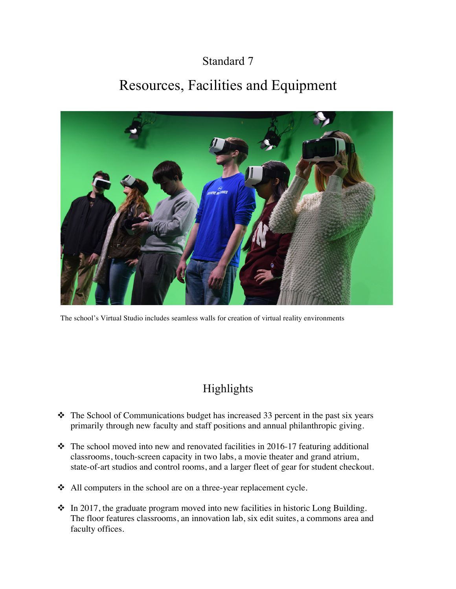## Standard 7

# Resources, Facilities and Equipment



The school's Virtual Studio includes seamless walls for creation of virtual reality environments

# Highlights

- $\cdot \cdot$  The School of Communications budget has increased 33 percent in the past six years primarily through new faculty and staff positions and annual philanthropic giving.
- $\cdot \cdot$  The school moved into new and renovated facilities in 2016-17 featuring additional classrooms, touch-screen capacity in two labs, a movie theater and grand atrium, state-of-art studios and control rooms, and a larger fleet of gear for student checkout.
- $\triangleleft$  All computers in the school are on a three-year replacement cycle.
- $\cdot$  In 2017, the graduate program moved into new facilities in historic Long Building. The floor features classrooms, an innovation lab, six edit suites, a commons area and faculty offices.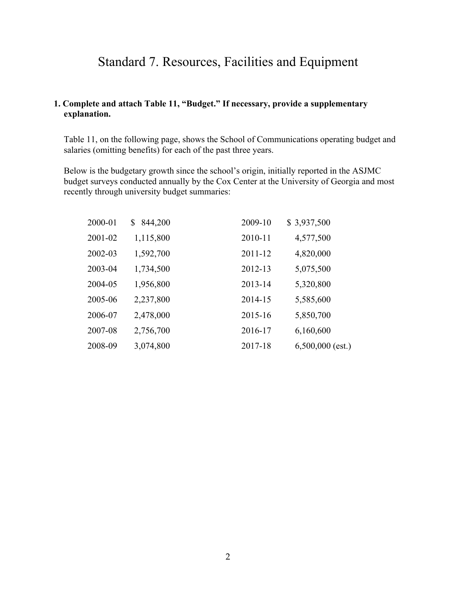## Standard 7. Resources, Facilities and Equipment

#### **1. Complete and attach Table 11, "Budget." If necessary, provide a supplementary explanation.**

Table 11, on the following page, shows the School of Communications operating budget and salaries (omitting benefits) for each of the past three years.

Below is the budgetary growth since the school's origin, initially reported in the ASJMC budget surveys conducted annually by the Cox Center at the University of Georgia and most recently through university budget summaries:

| 2000-01 | 844,200<br>\$ | 2009-10 | \$3,937,500        |
|---------|---------------|---------|--------------------|
| 2001-02 | 1,115,800     | 2010-11 | 4,577,500          |
| 2002-03 | 1,592,700     | 2011-12 | 4,820,000          |
| 2003-04 | 1,734,500     | 2012-13 | 5,075,500          |
| 2004-05 | 1,956,800     | 2013-14 | 5,320,800          |
| 2005-06 | 2,237,800     | 2014-15 | 5,585,600          |
| 2006-07 | 2,478,000     | 2015-16 | 5,850,700          |
| 2007-08 | 2,756,700     | 2016-17 | 6,160,600          |
| 2008-09 | 3,074,800     | 2017-18 | $6,500,000$ (est.) |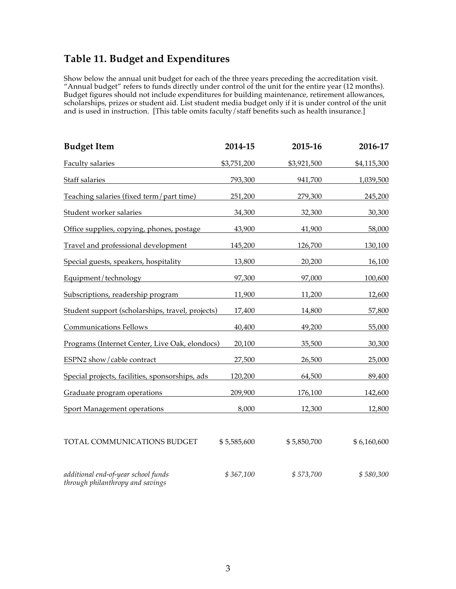### **Table 11. Budget and Expenditures**

Show below the annual unit budget for each of the three years preceding the accreditation visit. "Annual budget" refers to funds directly under control of the unit for the entire year (12 months). Budget figures should not include expenditures for building maintenance, retirement allowances, scholarships, prizes or student aid. List student media budget only if it is under control of the unit and is used in instruction. [This table omits faculty/staff benefits such as health insurance.]

| <b>Budget Item</b>                                                      | 2014-15     | 2015-16     | 2016-17     |
|-------------------------------------------------------------------------|-------------|-------------|-------------|
| Faculty salaries                                                        | \$3,751,200 | \$3,921,500 | \$4,115,300 |
| Staff salaries                                                          | 793,300     | 941,700     | 1,039,500   |
| Teaching salaries (fixed term/part time)                                | 251,200     | 279,300     | 245,200     |
| Student worker salaries                                                 | 34,300      | 32,300      | 30,300      |
| Office supplies, copying, phones, postage                               | 43,900      | 41,900      | 58,000      |
| Travel and professional development                                     | 145,200     | 126,700     | 130,100     |
| Special guests, speakers, hospitality                                   | 13,800      | 20,200      | 16,100      |
| Equipment/technology                                                    | 97,300      | 97,000      | 100,600     |
| Subscriptions, readership program                                       | 11,900      | 11,200      | 12,600      |
| Student support (scholarships, travel, projects)                        | 17,400      | 14,800      | 57,800      |
| <b>Communications Fellows</b>                                           | 40,400      | 49,200      | 55,000      |
| Programs (Internet Center, Live Oak, elondocs)                          | 20,100      | 35,500      | 30,300      |
| ESPN2 show/cable contract                                               | 27,500      | 26,500      | 25,000      |
| Special projects, facilities, sponsorships, ads                         | 120,200     | 64,500      | 89,400      |
| Graduate program operations                                             | 209,900     | 176,100     | 142,600     |
| Sport Management operations                                             | 8,000       | 12,300      | 12,800      |
| TOTAL COMMUNICATIONS BUDGET                                             | \$5,585,600 | \$5,850,700 | \$6,160,600 |
| additional end-of-year school funds<br>through philanthropy and savings | \$367,100   | \$573,700   | \$580,300   |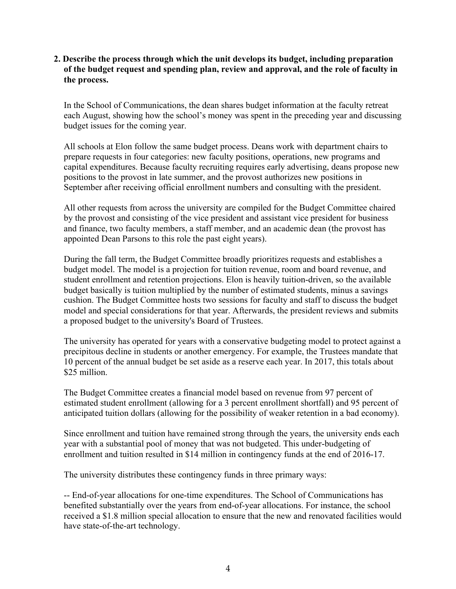#### **2. Describe the process through which the unit develops its budget, including preparation of the budget request and spending plan, review and approval, and the role of faculty in the process.**

In the School of Communications, the dean shares budget information at the faculty retreat each August, showing how the school's money was spent in the preceding year and discussing budget issues for the coming year.

All schools at Elon follow the same budget process. Deans work with department chairs to prepare requests in four categories: new faculty positions, operations, new programs and capital expenditures. Because faculty recruiting requires early advertising, deans propose new positions to the provost in late summer, and the provost authorizes new positions in September after receiving official enrollment numbers and consulting with the president.

All other requests from across the university are compiled for the Budget Committee chaired by the provost and consisting of the vice president and assistant vice president for business and finance, two faculty members, a staff member, and an academic dean (the provost has appointed Dean Parsons to this role the past eight years).

During the fall term, the Budget Committee broadly prioritizes requests and establishes a budget model. The model is a projection for tuition revenue, room and board revenue, and student enrollment and retention projections. Elon is heavily tuition-driven, so the available budget basically is tuition multiplied by the number of estimated students, minus a savings cushion. The Budget Committee hosts two sessions for faculty and staff to discuss the budget model and special considerations for that year. Afterwards, the president reviews and submits a proposed budget to the university's Board of Trustees.

The university has operated for years with a conservative budgeting model to protect against a precipitous decline in students or another emergency. For example, the Trustees mandate that 10 percent of the annual budget be set aside as a reserve each year. In 2017, this totals about \$25 million.

The Budget Committee creates a financial model based on revenue from 97 percent of estimated student enrollment (allowing for a 3 percent enrollment shortfall) and 95 percent of anticipated tuition dollars (allowing for the possibility of weaker retention in a bad economy).

Since enrollment and tuition have remained strong through the years, the university ends each year with a substantial pool of money that was not budgeted. This under-budgeting of enrollment and tuition resulted in \$14 million in contingency funds at the end of 2016-17.

The university distributes these contingency funds in three primary ways:

-- End-of-year allocations for one-time expenditures. The School of Communications has benefited substantially over the years from end-of-year allocations. For instance, the school received a \$1.8 million special allocation to ensure that the new and renovated facilities would have state-of-the-art technology.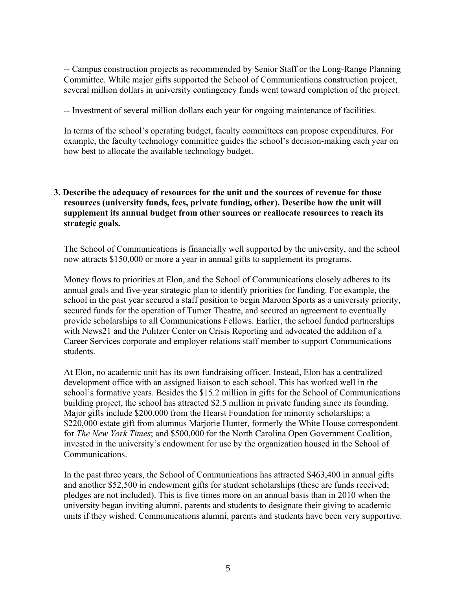-- Campus construction projects as recommended by Senior Staff or the Long-Range Planning Committee. While major gifts supported the School of Communications construction project, several million dollars in university contingency funds went toward completion of the project.

-- Investment of several million dollars each year for ongoing maintenance of facilities.

In terms of the school's operating budget, faculty committees can propose expenditures. For example, the faculty technology committee guides the school's decision-making each year on how best to allocate the available technology budget.

#### **3. Describe the adequacy of resources for the unit and the sources of revenue for those resources (university funds, fees, private funding, other). Describe how the unit will supplement its annual budget from other sources or reallocate resources to reach its strategic goals.**

The School of Communications is financially well supported by the university, and the school now attracts \$150,000 or more a year in annual gifts to supplement its programs.

Money flows to priorities at Elon, and the School of Communications closely adheres to its annual goals and five-year strategic plan to identify priorities for funding. For example, the school in the past year secured a staff position to begin Maroon Sports as a university priority, secured funds for the operation of Turner Theatre, and secured an agreement to eventually provide scholarships to all Communications Fellows. Earlier, the school funded partnerships with News21 and the Pulitzer Center on Crisis Reporting and advocated the addition of a Career Services corporate and employer relations staff member to support Communications students.

At Elon, no academic unit has its own fundraising officer. Instead, Elon has a centralized development office with an assigned liaison to each school. This has worked well in the school's formative years. Besides the \$15.2 million in gifts for the School of Communications building project, the school has attracted \$2.5 million in private funding since its founding. Major gifts include \$200,000 from the Hearst Foundation for minority scholarships; a \$220,000 estate gift from alumnus Marjorie Hunter, formerly the White House correspondent for *The New York Times*; and \$500,000 for the North Carolina Open Government Coalition, invested in the university's endowment for use by the organization housed in the School of Communications.

In the past three years, the School of Communications has attracted \$463,400 in annual gifts and another \$52,500 in endowment gifts for student scholarships (these are funds received; pledges are not included). This is five times more on an annual basis than in 2010 when the university began inviting alumni, parents and students to designate their giving to academic units if they wished. Communications alumni, parents and students have been very supportive.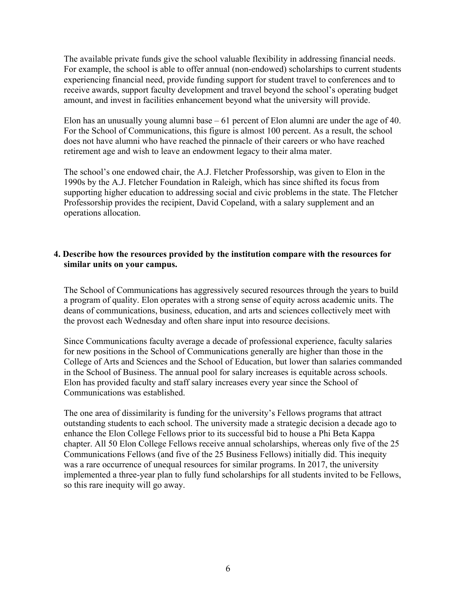The available private funds give the school valuable flexibility in addressing financial needs. For example, the school is able to offer annual (non-endowed) scholarships to current students experiencing financial need, provide funding support for student travel to conferences and to receive awards, support faculty development and travel beyond the school's operating budget amount, and invest in facilities enhancement beyond what the university will provide.

Elon has an unusually young alumni base – 61 percent of Elon alumni are under the age of 40. For the School of Communications, this figure is almost 100 percent. As a result, the school does not have alumni who have reached the pinnacle of their careers or who have reached retirement age and wish to leave an endowment legacy to their alma mater.

The school's one endowed chair, the A.J. Fletcher Professorship, was given to Elon in the 1990s by the A.J. Fletcher Foundation in Raleigh, which has since shifted its focus from supporting higher education to addressing social and civic problems in the state. The Fletcher Professorship provides the recipient, David Copeland, with a salary supplement and an operations allocation.

#### **4. Describe how the resources provided by the institution compare with the resources for similar units on your campus.**

The School of Communications has aggressively secured resources through the years to build a program of quality. Elon operates with a strong sense of equity across academic units. The deans of communications, business, education, and arts and sciences collectively meet with the provost each Wednesday and often share input into resource decisions.

Since Communications faculty average a decade of professional experience, faculty salaries for new positions in the School of Communications generally are higher than those in the College of Arts and Sciences and the School of Education, but lower than salaries commanded in the School of Business. The annual pool for salary increases is equitable across schools. Elon has provided faculty and staff salary increases every year since the School of Communications was established.

The one area of dissimilarity is funding for the university's Fellows programs that attract outstanding students to each school. The university made a strategic decision a decade ago to enhance the Elon College Fellows prior to its successful bid to house a Phi Beta Kappa chapter. All 50 Elon College Fellows receive annual scholarships, whereas only five of the 25 Communications Fellows (and five of the 25 Business Fellows) initially did. This inequity was a rare occurrence of unequal resources for similar programs. In 2017, the university implemented a three-year plan to fully fund scholarships for all students invited to be Fellows, so this rare inequity will go away.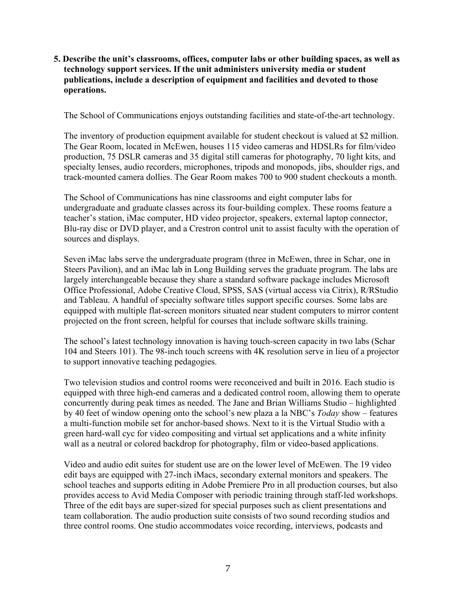**5. Describe the unit's classrooms, offices, computer labs or other building spaces, as well as technology support services. If the unit administers university media or student publications, include a description of equipment and facilities and devoted to those operations.**

The School of Communications enjoys outstanding facilities and state-of-the-art technology.

The inventory of production equipment available for student checkout is valued at \$2 million. The Gear Room, located in McEwen, houses 115 video cameras and HDSLRs for film/video production, 75 DSLR cameras and 35 digital still cameras for photography, 70 light kits, and specialty lenses, audio recorders, microphones, tripods and monopods, jibs, shoulder rigs, and track-mounted camera dollies. The Gear Room makes 700 to 900 student checkouts a month.

The School of Communications has nine classrooms and eight computer labs for undergraduate and graduate classes across its four-building complex. These rooms feature a teacher's station, iMac computer, HD video projector, speakers, external laptop connector, Blu-ray disc or DVD player, and a Crestron control unit to assist faculty with the operation of sources and displays.

Seven iMac labs serve the undergraduate program (three in McEwen, three in Schar, one in Steers Pavilion), and an iMac lab in Long Building serves the graduate program. The labs are largely interchangeable because they share a standard software package includes Microsoft Office Professional, Adobe Creative Cloud, SPSS, SAS (virtual access via Citrix), R/RStudio and Tableau. A handful of specialty software titles support specific courses. Some labs are equipped with multiple flat-screen monitors situated near student computers to mirror content projected on the front screen, helpful for courses that include software skills training.

The school's latest technology innovation is having touch-screen capacity in two labs (Schar 104 and Steers 101). The 98-inch touch screens with 4K resolution serve in lieu of a projector to support innovative teaching pedagogies.

Two television studios and control rooms were reconceived and built in 2016. Each studio is equipped with three high-end cameras and a dedicated control room, allowing them to operate concurrently during peak times as needed. The Jane and Brian Williams Studio – highlighted by 40 feet of window opening onto the school's new plaza a la NBC's *Today* show – features a multi-function mobile set for anchor-based shows. Next to it is the Virtual Studio with a green hard-wall cyc for video compositing and virtual set applications and a white infinity wall as a neutral or colored backdrop for photography, film or video-based applications.

Video and audio edit suites for student use are on the lower level of McEwen. The 19 video edit bays are equipped with 27-inch iMacs, secondary external monitors and speakers. The school teaches and supports editing in Adobe Premiere Pro in all production courses, but also provides access to Avid Media Composer with periodic training through staff-led workshops. Three of the edit bays are super-sized for special purposes such as client presentations and team collaboration. The audio production suite consists of two sound recording studios and three control rooms. One studio accommodates voice recording, interviews, podcasts and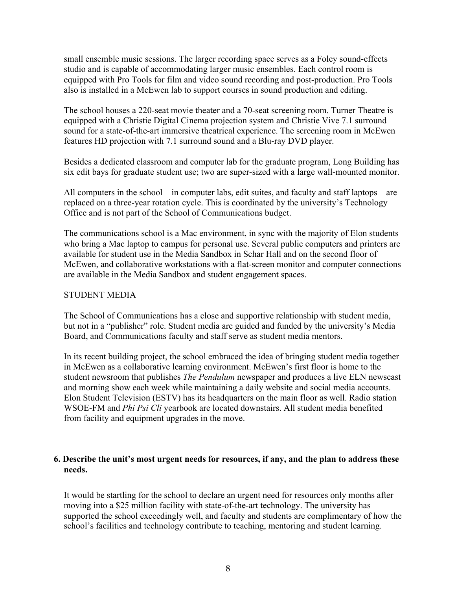small ensemble music sessions. The larger recording space serves as a Foley sound-effects studio and is capable of accommodating larger music ensembles. Each control room is equipped with Pro Tools for film and video sound recording and post-production. Pro Tools also is installed in a McEwen lab to support courses in sound production and editing.

The school houses a 220-seat movie theater and a 70-seat screening room. Turner Theatre is equipped with a Christie Digital Cinema projection system and Christie Vive 7.1 surround sound for a state-of-the-art immersive theatrical experience. The screening room in McEwen features HD projection with 7.1 surround sound and a Blu-ray DVD player.

Besides a dedicated classroom and computer lab for the graduate program, Long Building has six edit bays for graduate student use; two are super-sized with a large wall-mounted monitor.

All computers in the school – in computer labs, edit suites, and faculty and staff laptops – are replaced on a three-year rotation cycle. This is coordinated by the university's Technology Office and is not part of the School of Communications budget.

The communications school is a Mac environment, in sync with the majority of Elon students who bring a Mac laptop to campus for personal use. Several public computers and printers are available for student use in the Media Sandbox in Schar Hall and on the second floor of McEwen, and collaborative workstations with a flat-screen monitor and computer connections are available in the Media Sandbox and student engagement spaces.

#### STUDENT MEDIA

The School of Communications has a close and supportive relationship with student media, but not in a "publisher" role. Student media are guided and funded by the university's Media Board, and Communications faculty and staff serve as student media mentors.

In its recent building project, the school embraced the idea of bringing student media together in McEwen as a collaborative learning environment. McEwen's first floor is home to the student newsroom that publishes *The Pendulum* newspaper and produces a live ELN newscast and morning show each week while maintaining a daily website and social media accounts. Elon Student Television (ESTV) has its headquarters on the main floor as well. Radio station WSOE-FM and *Phi Psi Cli* yearbook are located downstairs. All student media benefited from facility and equipment upgrades in the move.

#### **6. Describe the unit's most urgent needs for resources, if any, and the plan to address these needs.**

It would be startling for the school to declare an urgent need for resources only months after moving into a \$25 million facility with state-of-the-art technology. The university has supported the school exceedingly well, and faculty and students are complimentary of how the school's facilities and technology contribute to teaching, mentoring and student learning.